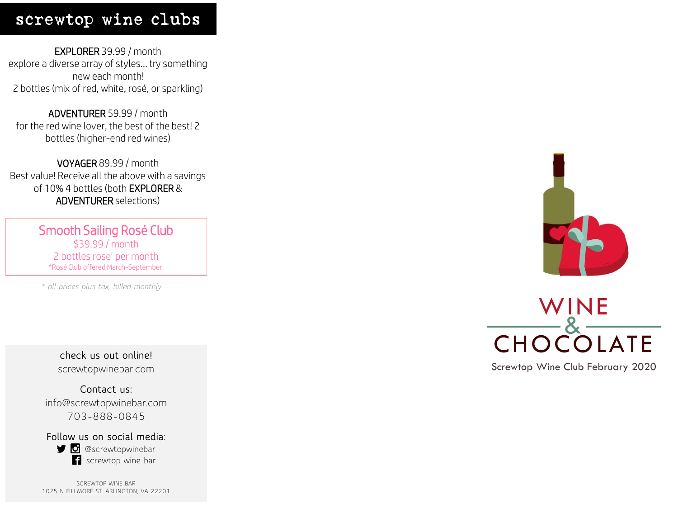## screwtop wine clubs

EXPLORER 39.99 / month explore a diverse array of styles… try something new each month! 2 bottles (mix of red, white, rosé, or sparkling)

ADVENTURER 59.99 / month for the red wine lover, the best of the best! 2 bottles (higher -end red wines)

VOYAGER 89.99 / month Best value! Receive all the above with a savings of 10% 4 bottles (both EXPLORER & ADVENTURER selections)

> Smooth Sailing Rosé Club \$39.99 / month 2 bottles rose' per month \*Rosé Club offered March -September

*\* all prices plus tax, billed monthly*

**check us out online!** screwtopwinebar.com

**Contact us:** info@screwtopwinebar.com 703 -888 -0845

**Follow us on social media: g** @screwtopwinebar screwtop wine bar

SCREWTOP WINE BAR 1025 N FILLMORE ST. ARLINGTON, VA 22201





Screwtop Wine Club February 2020